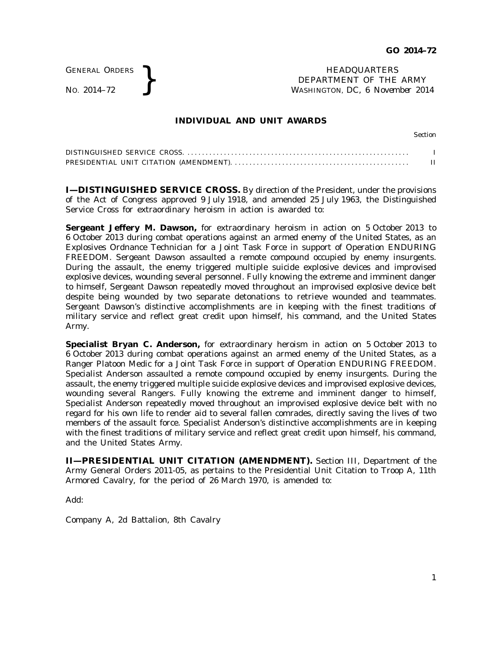GENERAL ORDERS

GENERAL ORDERS **REAL ORDERS** HEADQUARTERS **HEADQUARTERS HEADQUARTERS HEADQUARTERS DEPARTMENT** OF THE **WASHINGTON, DC, 6 Novem** DEPARTMENT OF THE ARMY WASHINGTON, DC, *6 November 2014*

## **INDIVIDUAL AND UNIT AWARDS**

Section

**I—DISTINGUISHED SERVICE CROSS.** By direction of the President, under the provisions of the Act of Congress approved 9 July 1918, and amended 25 July 1963, the Distinguished Service Cross for extraordinary heroism in action is awarded to:

**Sergeant Jeffery M. Dawson,** for extraordinary heroism in action on 5 October 2013 to 6 October 2013 during combat operations against an armed enemy of the United States, as an Explosives Ordnance Technician for a Joint Task Force in support of Operation ENDURING FREEDOM. Sergeant Dawson assaulted a remote compound occupied by enemy insurgents. During the assault, the enemy triggered multiple suicide explosive devices and improvised explosive devices, wounding several personnel. Fully knowing the extreme and imminent danger to himself, Sergeant Dawson repeatedly moved throughout an improvised explosive device belt despite being wounded by two separate detonations to retrieve wounded and teammates. Sergeant Dawson's distinctive accomplishments are in keeping with the finest traditions of military service and reflect great credit upon himself, his command, and the United States Army.

**Specialist Bryan C. Anderson,** for extraordinary heroism in action on 5 October 2013 to 6 October 2013 during combat operations against an armed enemy of the United States, as a Ranger Platoon Medic for a Joint Task Force in support of Operation ENDURING FREEDOM. Specialist Anderson assaulted a remote compound occupied by enemy insurgents. During the assault, the enemy triggered multiple suicide explosive devices and improvised explosive devices, wounding several Rangers. Fully knowing the extreme and imminent danger to himself, Specialist Anderson repeatedly moved throughout an improvised explosive device belt with no regard for his own life to render aid to several fallen comrades, directly saving the lives of two members of the assault force. Specialist Anderson's distinctive accomplishments are in keeping with the finest traditions of military service and reflect great credit upon himself, his command, and the United States Army.

**II—PRESIDENTIAL UNIT CITATION (AMENDMENT).** Section III, Department of the Army General Orders 2011-05, as pertains to the Presidential Unit Citation to Troop A, 11th Armored Cavalry, for the period of 26 March 1970, is amended to:

Add:

Company A, 2d Battalion, 8th Cavalry